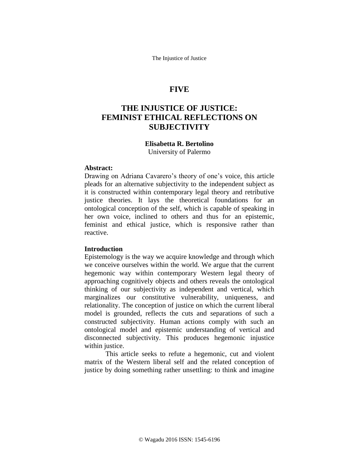The Injustice of Justice

# **FIVE**

# **THE INJUSTICE OF JUSTICE: FEMINIST ETHICAL REFLECTIONS ON SUBJECTIVITY**

## **Elisabetta R. Bertolino**

University of Palermo

# **Abstract:**

Drawing on Adriana Cavarero's theory of one's voice, this article pleads for an alternative subjectivity to the independent subject as it is constructed within contemporary legal theory and retributive justice theories. It lays the theoretical foundations for an ontological conception of the self, which is capable of speaking in her own voice, inclined to others and thus for an epistemic, feminist and ethical justice, which is responsive rather than reactive.

## **Introduction**

Epistemology is the way we acquire knowledge and through which we conceive ourselves within the world. We argue that the current hegemonic way within contemporary Western legal theory of approaching cognitively objects and others reveals the ontological thinking of our subjectivity as independent and vertical, which marginalizes our constitutive vulnerability, uniqueness, and relationality. The conception of justice on which the current liberal model is grounded, reflects the cuts and separations of such a constructed subjectivity. Human actions comply with such an ontological model and epistemic understanding of vertical and disconnected subjectivity. This produces hegemonic injustice within justice.

This article seeks to refute a hegemonic, cut and violent matrix of the Western liberal self and the related conception of justice by doing something rather unsettling: to think and imagine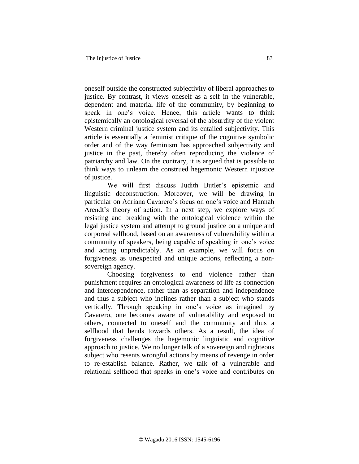oneself outside the constructed subjectivity of liberal approaches to justice. By contrast, it views oneself as a self in the vulnerable, dependent and material life of the community, by beginning to speak in one's voice. Hence, this article wants to think epistemically an ontological reversal of the absurdity of the violent Western criminal justice system and its entailed subjectivity. This article is essentially a feminist critique of the cognitive symbolic order and of the way feminism has approached subjectivity and justice in the past, thereby often reproducing the violence of patriarchy and law. On the contrary, it is argued that is possible to think ways to unlearn the construed hegemonic Western injustice of justice.

We will first discuss Judith Butler's epistemic and linguistic deconstruction. Moreover, we will be drawing in particular on Adriana Cavarero's focus on one's voice and Hannah Arendt's theory of action. In a next step, we explore ways of resisting and breaking with the ontological violence within the legal justice system and attempt to ground justice on a unique and corporeal selfhood, based on an awareness of vulnerability within a community of speakers, being capable of speaking in one's voice and acting unpredictably. As an example, we will focus on forgiveness as unexpected and unique actions, reflecting a nonsovereign agency.

Choosing forgiveness to end violence rather than punishment requires an ontological awareness of life as connection and interdependence, rather than as separation and independence and thus a subject who inclines rather than a subject who stands vertically. Through speaking in one's voice as imagined by Cavarero, one becomes aware of vulnerability and exposed to others, connected to oneself and the community and thus a selfhood that bends towards others. As a result, the idea of forgiveness challenges the hegemonic linguistic and cognitive approach to justice. We no longer talk of a sovereign and righteous subject who resents wrongful actions by means of revenge in order to re-establish balance. Rather, we talk of a vulnerable and relational selfhood that speaks in one's voice and contributes on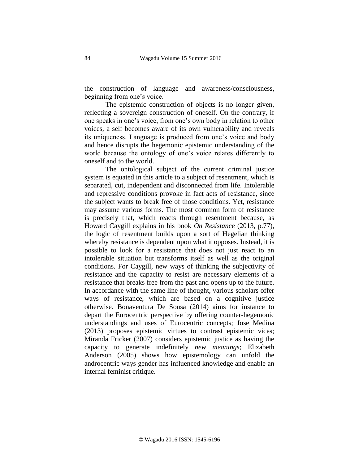the construction of language and awareness/consciousness, beginning from one's voice.

The epistemic construction of objects is no longer given, reflecting a sovereign construction of oneself. On the contrary, if one speaks in one's voice, from one's own body in relation to other voices, a self becomes aware of its own vulnerability and reveals its uniqueness. Language is produced from one's voice and body and hence disrupts the hegemonic epistemic understanding of the world because the ontology of one's voice relates differently to oneself and to the world.

The ontological subject of the current criminal justice system is equated in this article to a subject of resentment, which is separated, cut, independent and disconnected from life. Intolerable and repressive conditions provoke in fact acts of resistance, since the subject wants to break free of those conditions. Yet, resistance may assume various forms. The most common form of resistance is precisely that, which reacts through resentment because, as Howard Caygill explains in his book *On Resistance* (2013, p.77), the logic of resentment builds upon a sort of Hegelian thinking whereby resistance is dependent upon what it opposes. Instead, it is possible to look for a resistance that does not just react to an intolerable situation but transforms itself as well as the original conditions. For Caygill, new ways of thinking the subjectivity of resistance and the capacity to resist are necessary elements of a resistance that breaks free from the past and opens up to the future. In accordance with the same line of thought, various scholars offer ways of resistance, which are based on a cognitive justice otherwise. Bonaventura De Sousa (2014) aims for instance to depart the Eurocentric perspective by offering counter-hegemonic understandings and uses of Eurocentric concepts; Jose Medina (2013) proposes epistemic virtues to contrast epistemic vices; Miranda Fricker (2007) considers epistemic justice as having the capacity to generate indefinitely *new meanings*; Elizabeth Anderson (2005) shows how epistemology can unfold the androcentric ways gender has influenced knowledge and enable an internal feminist critique.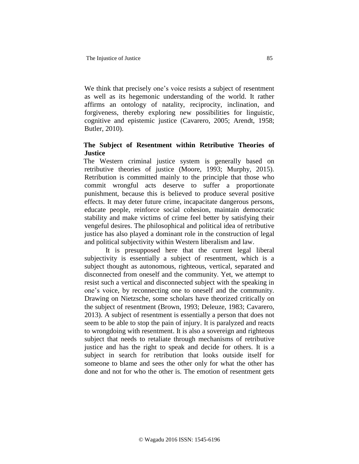We think that precisely one's voice resists a subject of resentment as well as its hegemonic understanding of the world. It rather affirms an ontology of natality, reciprocity, inclination, and forgiveness, thereby exploring new possibilities for linguistic, cognitive and epistemic justice (Cavarero, 2005; Arendt, 1958; Butler, 2010).

# **The Subject of Resentment within Retributive Theories of Justice**

The Western criminal justice system is generally based on retributive theories of justice (Moore, 1993; Murphy, 2015). Retribution is committed mainly to the principle that those who commit wrongful acts deserve to suffer a proportionate punishment, because this is believed to produce several positive effects. It may deter future crime, incapacitate dangerous persons, educate people, reinforce social cohesion, maintain democratic stability and make victims of crime feel better by satisfying their vengeful desires. The philosophical and political idea of retributive justice has also played a dominant role in the construction of legal and political subjectivity within Western liberalism and law.

It is presupposed here that the current legal liberal subjectivity is essentially a subject of resentment, which is a subject thought as autonomous, righteous, vertical, separated and disconnected from oneself and the community. Yet, we attempt to resist such a vertical and disconnected subject with the speaking in one's voice, by reconnecting one to oneself and the community. Drawing on Nietzsche, some scholars have theorized critically on the subject of resentment (Brown, 1993; Deleuze, 1983; Cavarero, 2013). A subject of resentment is essentially a person that does not seem to be able to stop the pain of injury. It is paralyzed and reacts to wrongdoing with resentment. It is also a sovereign and righteous subject that needs to retaliate through mechanisms of retributive justice and has the right to speak and decide for others. It is a subject in search for retribution that looks outside itself for someone to blame and sees the other only for what the other has done and not for who the other is. The emotion of resentment gets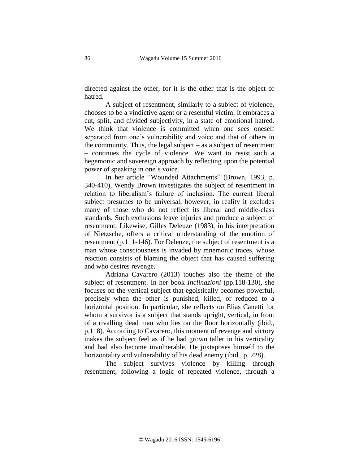directed against the other, for it is the other that is the object of hatred.

A subject of resentment, similarly to a subject of violence, chooses to be a vindictive agent or a resentful victim. It embraces a cut, split, and divided subjectivity, in a state of emotional hatred. We think that violence is committed when one sees oneself separated from one's vulnerability and voice and that of others in the community. Thus, the legal subject – as a subject of resentment – continues the cycle of violence. We want to resist such a hegemonic and sovereign approach by reflecting upon the potential power of speaking in one's voice.

In her article "Wounded Attachments" (Brown, 1993, p. 340-410), Wendy Brown investigates the subject of resentment in relation to liberalism's failure of inclusion. The current liberal subject presumes to be universal, however, in reality it excludes many of those who do not reflect its liberal and middle-class standards. Such exclusions leave injuries and produce a subject of resentment. Likewise, Gilles Deleuze (1983), in his interpretation of Nietzsche, offers a critical understanding of the emotion of resentment (p.111-146). For Deleuze, the subject of resentment is a man whose consciousness is invaded by mnemonic traces, whose reaction consists of blaming the object that has caused suffering and who desires revenge.

Adriana Cavarero (2013) touches also the theme of the subject of resentment. In her book *Inclinazioni* (pp.118-130), she focuses on the vertical subject that egoistically becomes powerful, precisely when the other is punished, killed, or reduced to a horizontal position. In particular, she reflects on Elias Canetti for whom a survivor is a subject that stands upright, vertical, in front of a rivalling dead man who lies on the floor horizontally (ibid., p.118). According to Cavarero, this moment of revenge and victory makes the subject feel as if he had grown taller in his verticality and had also become invulnerable. He juxtaposes himself to the horizontality and vulnerability of his dead enemy (ibid., p. 228).

The subject survives violence by killing through resentment, following a logic of repeated violence, through a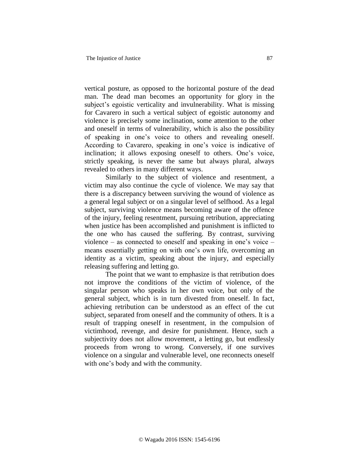vertical posture, as opposed to the horizontal posture of the dead man. The dead man becomes an opportunity for glory in the subject's egoistic verticality and invulnerability. What is missing for Cavarero in such a vertical subject of egoistic autonomy and violence is precisely some inclination, some attention to the other and oneself in terms of vulnerability, which is also the possibility of speaking in one's voice to others and revealing oneself. According to Cavarero, speaking in one's voice is indicative of inclination; it allows exposing oneself to others. One's voice, strictly speaking, is never the same but always plural, always revealed to others in many different ways.

Similarly to the subject of violence and resentment, a victim may also continue the cycle of violence. We may say that there is a discrepancy between surviving the wound of violence as a general legal subject or on a singular level of selfhood. As a legal subject, surviving violence means becoming aware of the offence of the injury, feeling resentment, pursuing retribution, appreciating when justice has been accomplished and punishment is inflicted to the one who has caused the suffering. By contrast, surviving violence – as connected to oneself and speaking in one's voice – means essentially getting on with one's own life, overcoming an identity as a victim, speaking about the injury, and especially releasing suffering and letting go.

The point that we want to emphasize is that retribution does not improve the conditions of the victim of violence, of the singular person who speaks in her own voice, but only of the general subject, which is in turn divested from oneself. In fact, achieving retribution can be understood as an effect of the cut subject, separated from oneself and the community of others. It is a result of trapping oneself in resentment, in the compulsion of victimhood, revenge, and desire for punishment. Hence, such a subjectivity does not allow movement, a letting go, but endlessly proceeds from wrong to wrong. Conversely, if one survives violence on a singular and vulnerable level, one reconnects oneself with one's body and with the community.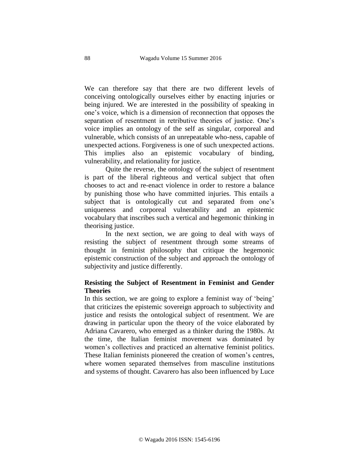We can therefore say that there are two different levels of conceiving ontologically ourselves either by enacting injuries or being injured. We are interested in the possibility of speaking in one's voice, which is a dimension of reconnection that opposes the separation of resentment in retributive theories of justice. One's voice implies an ontology of the self as singular, corporeal and vulnerable, which consists of an unrepeatable who-ness, capable of unexpected actions. Forgiveness is one of such unexpected actions. This implies also an epistemic vocabulary of binding, vulnerability, and relationality for justice.

Quite the reverse, the ontology of the subject of resentment is part of the liberal righteous and vertical subject that often chooses to act and re-enact violence in order to restore a balance by punishing those who have committed injuries. This entails a subject that is ontologically cut and separated from one's uniqueness and corporeal vulnerability and an epistemic vocabulary that inscribes such a vertical and hegemonic thinking in theorising justice.

In the next section, we are going to deal with ways of resisting the subject of resentment through some streams of thought in feminist philosophy that critique the hegemonic epistemic construction of the subject and approach the ontology of subjectivity and justice differently.

# **Resisting the Subject of Resentment in Feminist and Gender Theories**

In this section, we are going to explore a feminist way of 'being' that criticizes the epistemic sovereign approach to subjectivity and justice and resists the ontological subject of resentment. We are drawing in particular upon the theory of the voice elaborated by Adriana Cavarero, who emerged as a thinker during the 1980s. At the time, the Italian feminist movement was dominated by women's collectives and practiced an alternative feminist politics. These Italian feminists pioneered the creation of women's centres, where women separated themselves from masculine institutions and systems of thought. Cavarero has also been influenced by Luce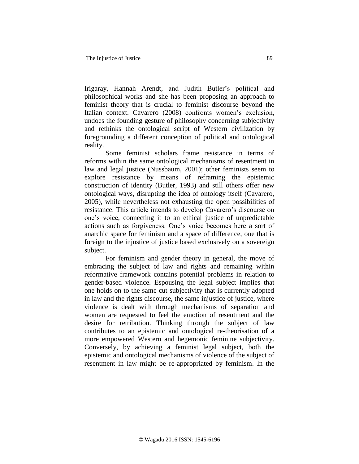Irigaray, Hannah Arendt, and Judith Butler's political and philosophical works and she has been proposing an approach to feminist theory that is crucial to feminist discourse beyond the Italian context. Cavarero (2008) confronts women's exclusion, undoes the founding gesture of philosophy concerning subjectivity and rethinks the ontological script of Western civilization by foregrounding a different conception of political and ontological reality.

Some feminist scholars frame resistance in terms of reforms within the same ontological mechanisms of resentment in law and legal justice (Nussbaum, 2001); other feminists seem to explore resistance by means of reframing the epistemic construction of identity (Butler, 1993) and still others offer new ontological ways, disrupting the idea of ontology itself (Cavarero, 2005), while nevertheless not exhausting the open possibilities of resistance. This article intends to develop Cavarero's discourse on one's voice, connecting it to an ethical justice of unpredictable actions such as forgiveness. One's voice becomes here a sort of anarchic space for feminism and a space of difference, one that is foreign to the injustice of justice based exclusively on a sovereign subject.

For feminism and gender theory in general, the move of embracing the subject of law and rights and remaining within reformative framework contains potential problems in relation to gender-based violence. Espousing the legal subject implies that one holds on to the same cut subjectivity that is currently adopted in law and the rights discourse, the same injustice of justice, where violence is dealt with through mechanisms of separation and women are requested to feel the emotion of resentment and the desire for retribution. Thinking through the subject of law contributes to an epistemic and ontological re-theorisation of a more empowered Western and hegemonic feminine subjectivity. Conversely, by achieving a feminist legal subject, both the epistemic and ontological mechanisms of violence of the subject of resentment in law might be re-appropriated by feminism. In the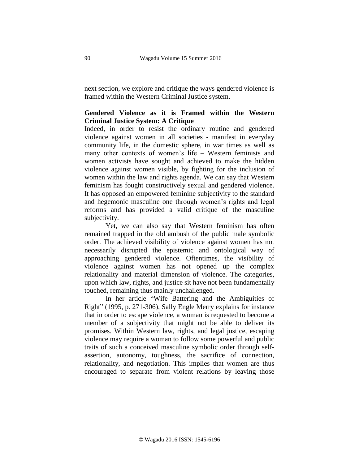next section, we explore and critique the ways gendered violence is framed within the Western Criminal Justice system.

# **Gendered Violence as it is Framed within the Western Criminal Justice System: A Critique**

Indeed, in order to resist the ordinary routine and gendered violence against women in all societies - manifest in everyday community life, in the domestic sphere, in war times as well as many other contexts of women's life – Western feminists and women activists have sought and achieved to make the hidden violence against women visible, by fighting for the inclusion of women within the law and rights agenda. We can say that Western feminism has fought constructively sexual and gendered violence. It has opposed an empowered feminine subjectivity to the standard and hegemonic masculine one through women's rights and legal reforms and has provided a valid critique of the masculine subjectivity.

Yet, we can also say that Western feminism has often remained trapped in the old ambush of the public male symbolic order. The achieved visibility of violence against women has not necessarily disrupted the epistemic and ontological way of approaching gendered violence. Oftentimes, the visibility of violence against women has not opened up the complex relationality and material dimension of violence. The categories, upon which law, rights, and justice sit have not been fundamentally touched, remaining thus mainly unchallenged.

In her article "Wife Battering and the Ambiguities of Right" (1995, p. 271-306)*,* Sally Engle Merry explains for instance that in order to escape violence, a woman is requested to become a member of a subjectivity that might not be able to deliver its promises. Within Western law, rights, and legal justice, escaping violence may require a woman to follow some powerful and public traits of such a conceived masculine symbolic order through selfassertion, autonomy, toughness, the sacrifice of connection, relationality, and negotiation. This implies that women are thus encouraged to separate from violent relations by leaving those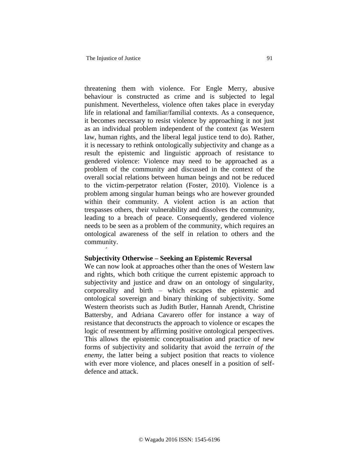´

threatening them with violence. For Engle Merry, abusive behaviour is constructed as crime and is subjected to legal punishment. Nevertheless, violence often takes place in everyday life in relational and familiar/familial contexts. As a consequence, it becomes necessary to resist violence by approaching it not just as an individual problem independent of the context (as Western law, human rights, and the liberal legal justice tend to do). Rather, it is necessary to rethink ontologically subjectivity and change as a result the epistemic and linguistic approach of resistance to gendered violence: Violence may need to be approached as a problem of the community and discussed in the context of the overall social relations between human beings and not be reduced to the victim-perpetrator relation (Foster, 2010). Violence is a problem among singular human beings who are however grounded within their community. A violent action is an action that trespasses others, their vulnerability and dissolves the community, leading to a breach of peace. Consequently, gendered violence needs to be seen as a problem of the community, which requires an ontological awareness of the self in relation to others and the community.

#### **Subjectivity Otherwise – Seeking an Epistemic Reversal**

We can now look at approaches other than the ones of Western law and rights, which both critique the current epistemic approach to subjectivity and justice and draw on an ontology of singularity, corporeality and birth – which escapes the epistemic and ontological sovereign and binary thinking of subjectivity. Some Western theorists such as Judith Butler, Hannah Arendt, Christine Battersby, and Adriana Cavarero offer for instance a way of resistance that deconstructs the approach to violence or escapes the logic of resentment by affirming positive ontological perspectives. This allows the epistemic conceptualisation and practice of new forms of subjectivity and solidarity that avoid the *terrain of the enemy*, the latter being a subject position that reacts to violence with ever more violence, and places oneself in a position of selfdefence and attack.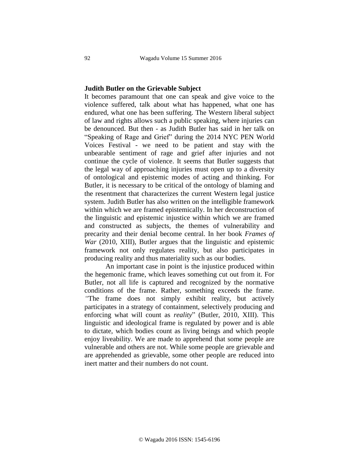### **Judith Butler on the Grievable Subject**

It becomes paramount that one can speak and give voice to the violence suffered, talk about what has happened, what one has endured, what one has been suffering. The Western liberal subject of law and rights allows such a public speaking, where injuries can be denounced. But then - as Judith Butler has said in her talk on "Speaking of Rage and Grief" during the 2014 NYC PEN World Voices Festival - we need to be patient and stay with the unbearable sentiment of rage and grief after injuries and not continue the cycle of violence. It seems that Butler suggests that the legal way of approaching injuries must open up to a diversity of ontological and epistemic modes of acting and thinking. For Butler, it is necessary to be critical of the ontology of blaming and the resentment that characterizes the current Western legal justice system. Judith Butler has also written on the intelligible framework within which we are framed epistemically. In her deconstruction of the linguistic and epistemic injustice within which we are framed and constructed as subjects, the themes of vulnerability and precarity and their denial become central. In her book *Frames of War* (2010, XIII), Butler argues that the linguistic and epistemic framework not only regulates reality, but also participates in producing reality and thus materiality such as our bodies.

An important case in point is the injustice produced within the hegemonic frame, which leaves something cut out from it. For Butler, not all life is captured and recognized by the normative conditions of the frame. Rather, something exceeds the frame. *"*The frame does not simply exhibit reality, but actively participates in a strategy of containment, selectively producing and enforcing what will count as *reality*" (Butler, 2010, XIII). This linguistic and ideological frame is regulated by power and is able to dictate, which bodies count as living beings and which people enjoy liveability. We are made to apprehend that some people are vulnerable and others are not. While some people are grievable and are apprehended as grievable, some other people are reduced into inert matter and their numbers do not count.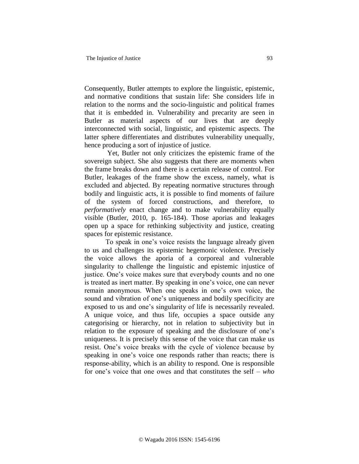Consequently, Butler attempts to explore the linguistic, epistemic, and normative conditions that sustain life: She considers life in relation to the norms and the socio-linguistic and political frames that it is embedded in. Vulnerability and precarity are seen in Butler as material aspects of our lives that are deeply interconnected with social, linguistic, and epistemic aspects. The latter sphere differentiates and distributes vulnerability unequally, hence producing a sort of injustice of justice.

Yet, Butler not only criticizes the epistemic frame of the sovereign subject. She also suggests that there are moments when the frame breaks down and there is a certain release of control. For Butler, leakages of the frame show the excess, namely, what is excluded and abjected. By repeating normative structures through bodily and linguistic acts, it is possible to find moments of failure of the system of forced constructions, and therefore, to *performatively* enact change and to make vulnerability equally visible (Butler, 2010, p. 165-184). Those aporias and leakages open up a space for rethinking subjectivity and justice, creating spaces for epistemic resistance.

To speak in one's voice resists the language already given to us and challenges its epistemic hegemonic violence. Precisely the voice allows the aporia of a corporeal and vulnerable singularity to challenge the linguistic and epistemic injustice of justice. One's voice makes sure that everybody counts and no one is treated as inert matter. By speaking in one's voice, one can never remain anonymous. When one speaks in one's own voice, the sound and vibration of one's uniqueness and bodily specificity are exposed to us and one's singularity of life is necessarily revealed. A unique voice, and thus life, occupies a space outside any categorising or hierarchy, not in relation to subjectivity but in relation to the exposure of speaking and the disclosure of one's uniqueness. It is precisely this sense of the voice that can make us resist. One's voice breaks with the cycle of violence because by speaking in one's voice one responds rather than reacts; there is response-ability, which is an ability to respond. One is responsible for one's voice that one owes and that constitutes the self – *who*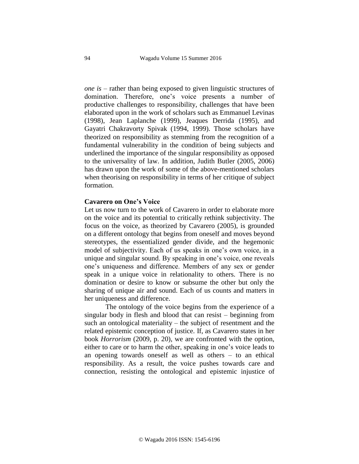*one is* – rather than being exposed to given linguistic structures of domination. Therefore, one's voice presents a number of productive challenges to responsibility, challenges that have been elaborated upon in the work of scholars such as Emmanuel Levinas (1998), Jean Laplanche (1999), Jeaques Derrida (1995), and Gayatri Chakravorty Spivak (1994, 1999). Those scholars have theorized on responsibility as stemming from the recognition of a fundamental vulnerability in the condition of being subjects and underlined the importance of the singular responsibility as opposed to the universality of law. In addition, Judith Butler (2005, 2006) has drawn upon the work of some of the above-mentioned scholars when theorising on responsibility in terms of her critique of subject formation*.*

### **Cavarero on One's Voice**

Let us now turn to the work of Cavarero in order to elaborate more on the voice and its potential to critically rethink subjectivity. The focus on the voice, as theorized by Cavarero (2005), is grounded on a different ontology that begins from oneself and moves beyond stereotypes, the essentialized gender divide, and the hegemonic model of subjectivity. Each of us speaks in one's own voice, in a unique and singular sound. By speaking in one's voice, one reveals one's uniqueness and difference. Members of any sex or gender speak in a unique voice in relationality to others. There is no domination or desire to know or subsume the other but only the sharing of unique air and sound. Each of us counts and matters in her uniqueness and difference.

The ontology of the voice begins from the experience of a singular body in flesh and blood that can resist – beginning from such an ontological materiality – the subject of resentment and the related epistemic conception of justice. If, as Cavarero states in her book *Horrorism* (2009, p. 20), we are confronted with the option, either to care or to harm the other, speaking in one's voice leads to an opening towards oneself as well as others – to an ethical responsibility. As a result, the voice pushes towards care and connection, resisting the ontological and epistemic injustice of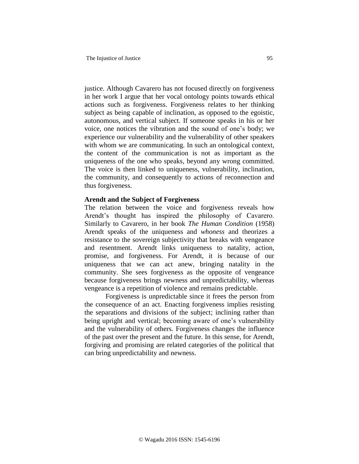justice. Although Cavarero has not focused directly on forgiveness in her work I argue that her vocal ontology points towards ethical actions such as forgiveness. Forgiveness relates to her thinking subject as being capable of inclination, as opposed to the egoistic, autonomous, and vertical subject. If someone speaks in his or her voice, one notices the vibration and the sound of one's body; we experience our vulnerability and the vulnerability of other speakers with whom we are communicating. In such an ontological context, the content of the communication is not as important as the uniqueness of the one who speaks, beyond any wrong committed. The voice is then linked to uniqueness, vulnerability, inclination, the community, and consequently to actions of reconnection and thus forgiveness.

### **Arendt and the Subject of Forgiveness**

The relation between the voice and forgiveness reveals how Arendt's thought has inspired the philosophy of Cavarero. Similarly to Cavarero, in her book *The Human Condition* (1958) Arendt speaks of the uniqueness and *whoness* and theorizes a resistance to the sovereign subjectivity that breaks with vengeance and resentment. Arendt links uniqueness to natality, action, promise, and forgiveness. For Arendt, it is because of our uniqueness that we can act anew, bringing natality in the community. She sees forgiveness as the opposite of vengeance because forgiveness brings newness and unpredictability, whereas vengeance is a repetition of violence and remains predictable.

Forgiveness is unpredictable since it frees the person from the consequence of an act. Enacting forgiveness implies resisting the separations and divisions of the subject; inclining rather than being upright and vertical; becoming aware of one's vulnerability and the vulnerability of others. Forgiveness changes the influence of the past over the present and the future. In this sense, for Arendt, forgiving and promising are related categories of the political that can bring unpredictability and newness.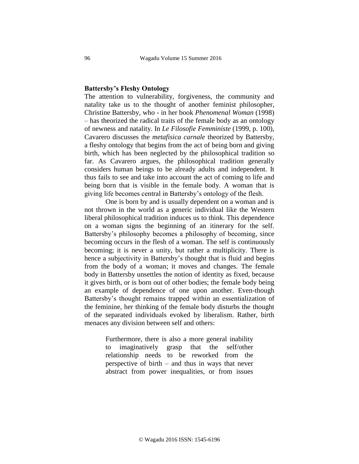## **Battersby's Fleshy Ontology**

The attention to vulnerability, forgiveness, the community and natality take us to the thought of another feminist philosopher, Christine Battersby, who - in her book *Phenomenal Woman* (1998) – has theorized the radical traits of the female body as an ontology of newness and natality. In *Le Filosofie Femministe* (1999, p. 100), Cavarero discusses the *metafisica carnale* theorized by Battersby, a fleshy ontology that begins from the act of being born and giving birth, which has been neglected by the philosophical tradition so far. As Cavarero argues, the philosophical tradition generally considers human beings to be already adults and independent. It thus fails to see and take into account the act of coming to life and being born that is visible in the female body. A woman that is giving life becomes central in Battersby's ontology of the flesh.

One is born by and is usually dependent on a woman and is not thrown in the world as a generic individual like the Western liberal philosophical tradition induces us to think. This dependence on a woman signs the beginning of an itinerary for the self. Battersby's philosophy becomes a philosophy of becoming, since becoming occurs in the flesh of a woman. The self is continuously becoming; it is never a unity, but rather a multiplicity. There is hence a subjectivity in Battersby's thought that is fluid and begins from the body of a woman; it moves and changes. The female body in Battersby unsettles the notion of identity as fixed, because it gives birth, or is born out of other bodies; the female body being an example of dependence of one upon another. Even-though Battersby's thought remains trapped within an essentialization of the feminine, her thinking of the female body disturbs the thought of the separated individuals evoked by liberalism. Rather, birth menaces any division between self and others:

> Furthermore, there is also a more general inability to imaginatively grasp that the self/other relationship needs to be reworked from the perspective of birth – and thus in ways that never abstract from power inequalities, or from issues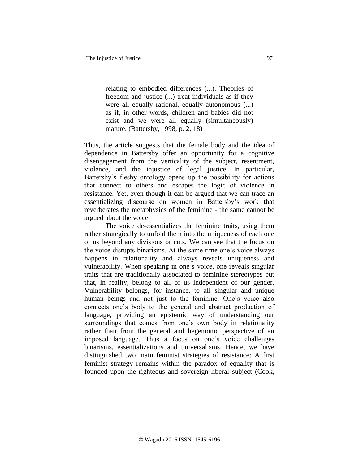relating to embodied differences (...). Theories of freedom and justice (...) treat individuals as if they were all equally rational, equally autonomous (...) as if, in other words, children and babies did not exist and we were all equally (simultaneously) mature. (Battersby, 1998, p. 2, 18)

Thus, the article suggests that the female body and the idea of dependence in Battersby offer an opportunity for a cognitive disengagement from the verticality of the subject, resentment, violence, and the injustice of legal justice. In particular, Battersby's fleshy ontology opens up the possibility for actions that connect to others and escapes the logic of violence in resistance. Yet, even though it can be argued that we can trace an essentializing discourse on women in Battersby's work that reverberates the metaphysics of the feminine - the same cannot be argued about the voice.

The voice de-essentializes the feminine traits, using them rather strategically to unfold them into the uniqueness of each one of us beyond any divisions or cuts. We can see that the focus on the voice disrupts binarisms. At the same time one's voice always happens in relationality and always reveals uniqueness and vulnerability. When speaking in one's voice, one reveals singular traits that are traditionally associated to feminine stereotypes but that, in reality, belong to all of us independent of our gender. Vulnerability belongs, for instance, to all singular and unique human beings and not just to the feminine. One's voice also connects one's body to the general and abstract production of language, providing an epistemic way of understanding our surroundings that comes from one's own body in relationality rather than from the general and hegemonic perspective of an imposed language. Thus a focus on one's voice challenges binarisms, essentializations and universalisms. Hence, we have distinguished two main feminist strategies of resistance: A first feminist strategy remains within the paradox of equality that is founded upon the righteous and sovereign liberal subject (Cook,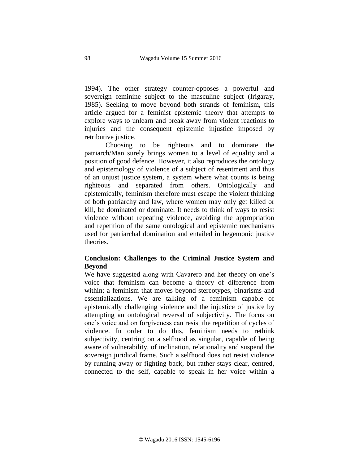1994). The other strategy counter-opposes a powerful and sovereign feminine subject to the masculine subject (Irigaray, 1985). Seeking to move beyond both strands of feminism, this article argued for a feminist epistemic theory that attempts to explore ways to unlearn and break away from violent reactions to injuries and the consequent epistemic injustice imposed by retributive justice.

Choosing to be righteous and to dominate the patriarch/Man surely brings women to a level of equality and a position of good defence. However, it also reproduces the ontology and epistemology of violence of a subject of resentment and thus of an unjust justice system, a system where what counts is being righteous and separated from others. Ontologically and epistemically, feminism therefore must escape the violent thinking of both patriarchy and law, where women may only get killed or kill, be dominated or dominate. It needs to think of ways to resist violence without repeating violence, avoiding the appropriation and repetition of the same ontological and epistemic mechanisms used for patriarchal domination and entailed in hegemonic justice theories.

# **Conclusion: Challenges to the Criminal Justice System and Beyond**

We have suggested along with Cavarero and her theory on one's voice that feminism can become a theory of difference from within; a feminism that moves beyond stereotypes, binarisms and essentializations. We are talking of a feminism capable of epistemically challenging violence and the injustice of justice by attempting an ontological reversal of subjectivity. The focus on one's voice and on forgiveness can resist the repetition of cycles of violence. In order to do this, feminism needs to rethink subjectivity, centring on a selfhood as singular, capable of being aware of vulnerability, of inclination, relationality and suspend the sovereign juridical frame. Such a selfhood does not resist violence by running away or fighting back, but rather stays clear, centred, connected to the self, capable to speak in her voice within a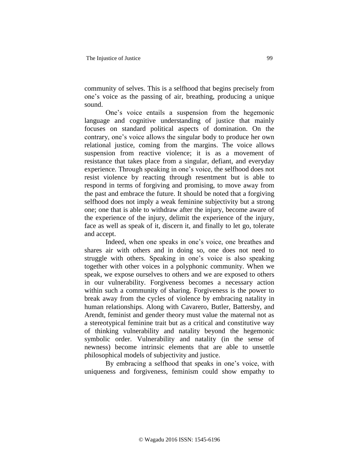community of selves. This is a selfhood that begins precisely from one's voice as the passing of air, breathing, producing a unique sound.

One's voice entails a suspension from the hegemonic language and cognitive understanding of justice that mainly focuses on standard political aspects of domination. On the contrary, one's voice allows the singular body to produce her own relational justice, coming from the margins. The voice allows suspension from reactive violence; it is as a movement of resistance that takes place from a singular, defiant, and everyday experience. Through speaking in one's voice, the selfhood does not resist violence by reacting through resentment but is able to respond in terms of forgiving and promising, to move away from the past and embrace the future. It should be noted that a forgiving selfhood does not imply a weak feminine subjectivity but a strong one; one that is able to withdraw after the injury, become aware of the experience of the injury, delimit the experience of the injury, face as well as speak of it, discern it, and finally to let go, tolerate and accept.

Indeed, when one speaks in one's voice, one breathes and shares air with others and in doing so, one does not need to struggle with others. Speaking in one's voice is also speaking together with other voices in a polyphonic community. When we speak, we expose ourselves to others and we are exposed to others in our vulnerability. Forgiveness becomes a necessary action within such a community of sharing. Forgiveness is the power to break away from the cycles of violence by embracing natality in human relationships. Along with Cavarero, Butler, Battersby, and Arendt, feminist and gender theory must value the maternal not as a stereotypical feminine trait but as a critical and constitutive way of thinking vulnerability and natality beyond the hegemonic symbolic order. Vulnerability and natality (in the sense of newness) become intrinsic elements that are able to unsettle philosophical models of subjectivity and justice.

By embracing a selfhood that speaks in one's voice, with uniqueness and forgiveness, feminism could show empathy to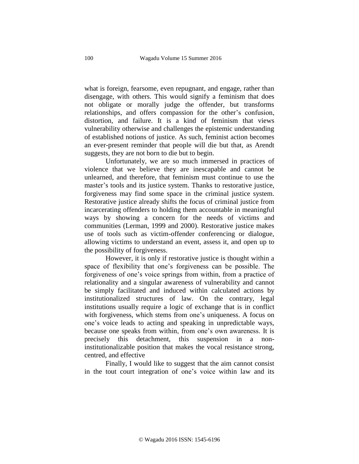what is foreign, fearsome, even repugnant, and engage, rather than disengage, with others. This would signify a feminism that does not obligate or morally judge the offender, but transforms relationships, and offers compassion for the other's confusion, distortion, and failure. It is a kind of feminism that views vulnerability otherwise and challenges the epistemic understanding of established notions of justice. As such, feminist action becomes an ever-present reminder that people will die but that, as Arendt suggests, they are not born to die but to begin.

Unfortunately, we are so much immersed in practices of violence that we believe they are inescapable and cannot be unlearned, and therefore, that feminism must continue to use the master's tools and its justice system. Thanks to restorative justice, forgiveness may find some space in the criminal justice system. Restorative justice already shifts the focus of criminal justice from incarcerating offenders to holding them accountable in meaningful ways by showing a concern for the needs of victims and communities (Lerman, 1999 and 2000). Restorative justice makes use of tools such as victim-offender conferencing or dialogue, allowing victims to understand an event, assess it, and open up to the possibility of forgiveness.

However, it is only if restorative justice is thought within a space of flexibility that one's forgiveness can be possible. The forgiveness of one's voice springs from within, from a practice of relationality and a singular awareness of vulnerability and cannot be simply facilitated and induced within calculated actions by institutionalized structures of law. On the contrary, legal institutions usually require a logic of exchange that is in conflict with forgiveness, which stems from one's uniqueness. A focus on one's voice leads to acting and speaking in unpredictable ways, because one speaks from within, from one's own awareness. It is precisely this detachment, this suspension in a noninstitutionalizable position that makes the vocal resistance strong, centred, and effective

Finally, I would like to suggest that the aim cannot consist in the tout court integration of one's voice within law and its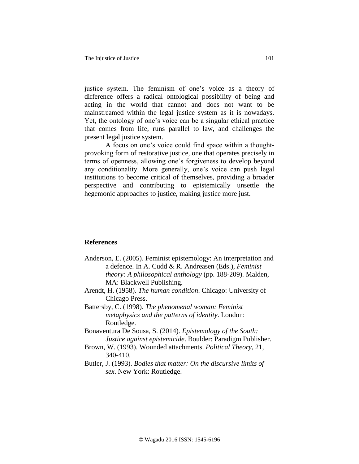justice system. The feminism of one's voice as a theory of difference offers a radical ontological possibility of being and acting in the world that cannot and does not want to be mainstreamed within the legal justice system as it is nowadays. Yet, the ontology of one's voice can be a singular ethical practice that comes from life, runs parallel to law, and challenges the present legal justice system.

A focus on one's voice could find space within a thoughtprovoking form of restorative justice, one that operates precisely in terms of openness, allowing one's forgiveness to develop beyond any conditionality. More generally, one's voice can push legal institutions to become critical of themselves, providing a broader perspective and contributing to epistemically unsettle the hegemonic approaches to justice, making justice more just.

## **References**

- Anderson, E. (2005). Feminist epistemology: An interpretation and a defence. In A. Cudd & R. Andreasen (Eds.), *Feminist theory: A philosophical anthology* (pp. 188-209). Malden, MA: Blackwell Publishing.
- Arendt, H. (1958). *The human condition*. Chicago: University of Chicago Press.
- Battersby, C. (1998). *The phenomenal woman: Feminist metaphysics and the patterns of identity*. London: Routledge.
- Bonaventura De Sousa, S. (2014). *Epistemology of the South: Justice against epistemicide*. Boulder: Paradigm Publisher.
- Brown, W. (1993). Wounded attachments. *Political Theory*, 21, 340-410.
- Butler, J. (1993). *Bodies that matter: On the discursive limits of sex*. New York: Routledge.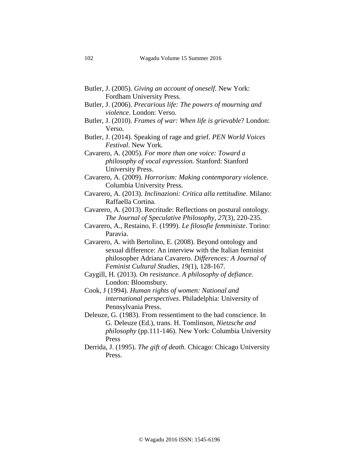- Butler, J. (2005). *Giving an account of oneself*. New York: Fordham University Press.
- Butler, J. (2006). *Precarious life: The powers of mourning and violence*. London: Verso.
- Butler, J. (2010). *Frames of war: When life is grievable*? London: Verso.
- Butler, J. (2014). Speaking of rage and grief. *PEN World Voices Festival*. New York.

Cavarero, A. (2005). *For more than one voice: Toward a philosophy of vocal expression.* Stanford: Stanford University Press.

- Cavarero, A. (2009). *Horrorism: Making contemporary vio*lence. Columbia University Press.
- Cavarero, A. (2013). *Inclinazioni: Critica alla rettitudine.* Milano: Raffaella Cortina.

Cavarero, A. (2013). Recritude: Reflections on postural ontology. *The Journal of Speculative Philosophy*, *27*(3), 220-235.

Cavarero, A., Restaino, F. (1999). *Le filosofie femministe*. Torino: Paravia.

Cavarero, A. with Bertolino, E. (2008). Beyond ontology and sexual difference: An interview with the Italian feminist philosopher Adriana Cavarero. *Differences: A Journal of Feminist Cultural Studies, 19(*1), 128-167.

Caygill, H. (2013). *On resistance. A philosophy of defiance*. London: Bloomsbury.

Cook, J (1994). *Human rights of women: National and international perspectives*. Philadelphia: University of Pennsylvania Press.

- Deleuze, G. (1983). From ressentiment to the bad conscience. In G. Deleuze (Ed.), trans. H. Tomlinson, *Nietzsche and philosophy* (pp.111-146). New York: Columbia University Press
- Derrida, J. (1995). *The gift of death*. Chicago: Chicago University Press.